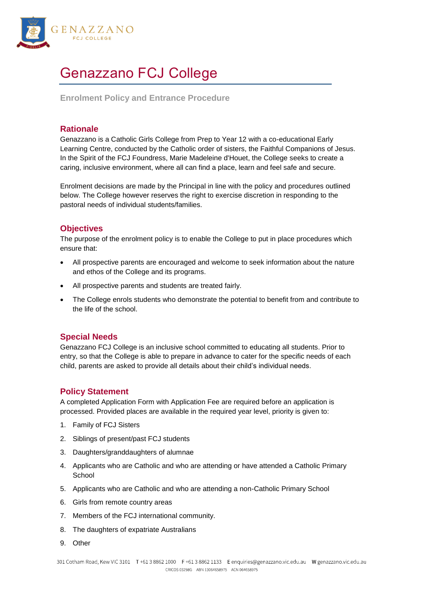

# Genazzano FCJ College

**Enrolment Policy and Entrance Procedure**

## **Rationale**

Genazzano is a Catholic Girls College from Prep to Year 12 with a co-educational Early Learning Centre, conducted by the Catholic order of sisters, the Faithful Companions of Jesus. In the Spirit of the FCJ Foundress, Marie Madeleine d'Houet, the College seeks to create a caring, inclusive environment, where all can find a place, learn and feel safe and secure.

Enrolment decisions are made by the Principal in line with the policy and procedures outlined below. The College however reserves the right to exercise discretion in responding to the pastoral needs of individual students/families.

# **Objectives**

The purpose of the enrolment policy is to enable the College to put in place procedures which ensure that:

- All prospective parents are encouraged and welcome to seek information about the nature and ethos of the College and its programs.
- All prospective parents and students are treated fairly.
- The College enrols students who demonstrate the potential to benefit from and contribute to the life of the school.

## **Special Needs**

Genazzano FCJ College is an inclusive school committed to educating all students. Prior to entry, so that the College is able to prepare in advance to cater for the specific needs of each child, parents are asked to provide all details about their child's individual needs.

## **Policy Statement**

A completed Application Form with Application Fee are required before an application is processed. Provided places are available in the required year level, priority is given to:

- 1. Family of FCJ Sisters
- 2. Siblings of present/past FCJ students
- 3. Daughters/granddaughters of alumnae
- 4. Applicants who are Catholic and who are attending or have attended a Catholic Primary **School**
- 5. Applicants who are Catholic and who are attending a non-Catholic Primary School
- 6. Girls from remote country areas
- 7. Members of the FCJ international community.
- 8. The daughters of expatriate Australians
- 9. Other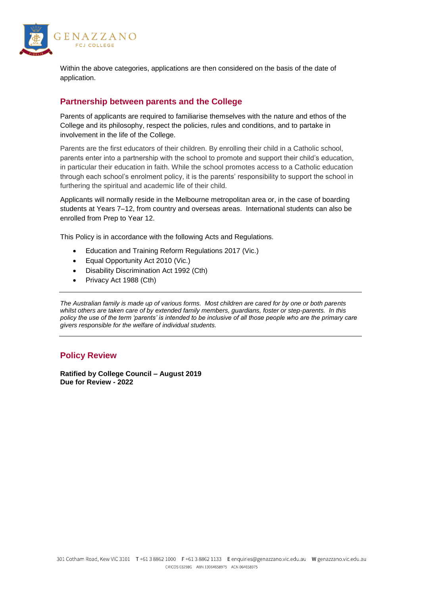

Within the above categories, applications are then considered on the basis of the date of application.

# **Partnership between parents and the College**

Parents of applicants are required to familiarise themselves with the nature and ethos of the College and its philosophy, respect the policies, rules and conditions, and to partake in involvement in the life of the College.

Parents are the first educators of their children. By enrolling their child in a Catholic school, parents enter into a partnership with the school to promote and support their child's education, in particular their education in faith. While the school promotes access to a Catholic education through each school's enrolment policy, it is the parents' responsibility to support the school in furthering the spiritual and academic life of their child.

Applicants will normally reside in the Melbourne metropolitan area or, in the case of boarding students at Years 7–12, from country and overseas areas. International students can also be enrolled from Prep to Year 12.

This Policy is in accordance with the following Acts and Regulations.

- Education and Training Reform Regulations 2017 (Vic.)
- Equal Opportunity Act 2010 (Vic.)
- Disability Discrimination Act 1992 (Cth)
- Privacy Act 1988 (Cth)

*The Australian family is made up of various forms. Most children are cared for by one or both parents whilst others are taken care of by extended family members, guardians, foster or step-parents. In this policy the use of the term 'parents' is intended to be inclusive of all those people who are the primary care givers responsible for the welfare of individual students.*

# **Policy Review**

**Ratified by College Council – August 2019 Due for Review - 2022**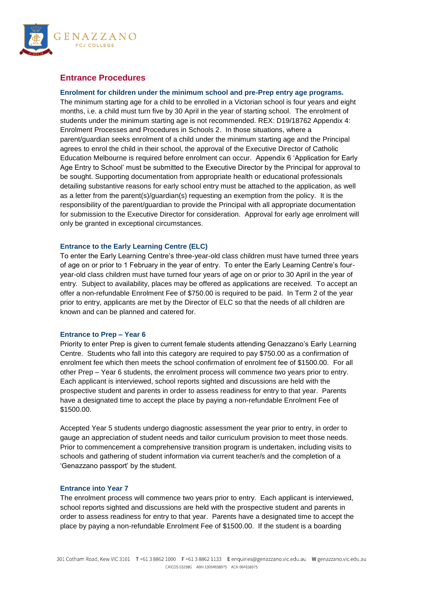

## **Entrance Procedures**

## **Enrolment for children under the minimum school and pre-Prep entry age programs.**

The minimum starting age for a child to be enrolled in a Victorian school is four years and eight months, i.e. a child must turn five by 30 April in the year of starting school. The enrolment of students under the minimum starting age is not recommended. REX: D19/18762 Appendix 4: Enrolment Processes and Procedures in Schools 2. In those situations, where a parent/guardian seeks enrolment of a child under the minimum starting age and the Principal agrees to enrol the child in their school, the approval of the Executive Director of Catholic Education Melbourne is required before enrolment can occur. Appendix 6 'Application for Early Age Entry to School' must be submitted to the Executive Director by the Principal for approval to be sought. Supporting documentation from appropriate health or educational professionals detailing substantive reasons for early school entry must be attached to the application, as well as a letter from the parent(s)/guardian(s) requesting an exemption from the policy. It is the responsibility of the parent/guardian to provide the Principal with all appropriate documentation for submission to the Executive Director for consideration. Approval for early age enrolment will only be granted in exceptional circumstances.

#### **Entrance to the Early Learning Centre (ELC)**

To enter the Early Learning Centre's three-year-old class children must have turned three years of age on or prior to 1 February in the year of entry. To enter the Early Learning Centre's fouryear-old class children must have turned four years of age on or prior to 30 April in the year of entry. Subject to availability, places may be offered as applications are received. To accept an offer a non-refundable Enrolment Fee of \$750.00 is required to be paid. In Term 2 of the year prior to entry, applicants are met by the Director of ELC so that the needs of all children are known and can be planned and catered for.

#### **Entrance to Prep – Year 6**

Priority to enter Prep is given to current female students attending Genazzano's Early Learning Centre. Students who fall into this category are required to pay \$750.00 as a confirmation of enrolment fee which then meets the school confirmation of enrolment fee of \$1500.00. For all other Prep – Year 6 students, the enrolment process will commence two years prior to entry. Each applicant is interviewed, school reports sighted and discussions are held with the prospective student and parents in order to assess readiness for entry to that year. Parents have a designated time to accept the place by paying a non-refundable Enrolment Fee of \$1500.00.

Accepted Year 5 students undergo diagnostic assessment the year prior to entry, in order to gauge an appreciation of student needs and tailor curriculum provision to meet those needs. Prior to commencement a comprehensive transition program is undertaken, including visits to schools and gathering of student information via current teacher/s and the completion of a 'Genazzano passport' by the student.

#### **Entrance into Year 7**

The enrolment process will commence two years prior to entry. Each applicant is interviewed, school reports sighted and discussions are held with the prospective student and parents in order to assess readiness for entry to that year. Parents have a designated time to accept the place by paying a non-refundable Enrolment Fee of \$1500.00. If the student is a boarding